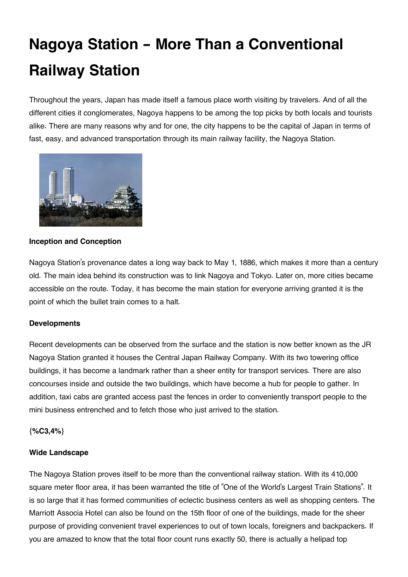# **Nagoya Station - More Than a Conventional Railway Station**

Throughout the years, Japan has made itself a famous place worth visiting by travelers. And of all the different cities it conglomerates, Nagoya happens to be among the top picks by both locals and tourists alike. There are many reasons why and for one, the city happens to be the capital of Japan in terms of fast, easy, and advanced transportation through its main railway facility, the Nagoya Station.



## **Inception and Conception**

Nagoya Station's provenance dates a long way back to May 1, 1886, which makes it more than a century old. The main idea behind its construction was to link Nagoya and Tokyo. Later on, more cities became accessible on the route. Today, it has become the main station for everyone arriving granted it is the point of which the bullet train comes to a halt.

#### **Developments**

Recent developments can be observed from the surface and the station is now better known as the JR Nagoya Station granted it houses the Central Japan Railway Company. With its two towering office buildings, it has become a landmark rather than a sheer entity for transport services. There are also concourses inside and outside the two buildings, which have become a hub for people to gather. In addition, taxi cabs are granted access past the fences in order to conveniently transport people to the mini business entrenched and to fetch those who just arrived to the station.

#### **{%C3,4%}**

#### **Wide Landscape**

The Nagoya Station proves itself to be more than the conventional railway station. With its 410,000 square meter floor area, it has been warranted the title of "One of the World's Largest Train Stations". It is so large that it has formed communities of eclectic business centers as well as shopping centers. The Marriott Associa Hotel can also be found on the 15th floor of one of the buildings, made for the sheer purpose of providing convenient travel experiences to out of town locals, foreigners and backpackers. If you are amazed to know that the total floor count runs exactly 50, there is actually a helipad top